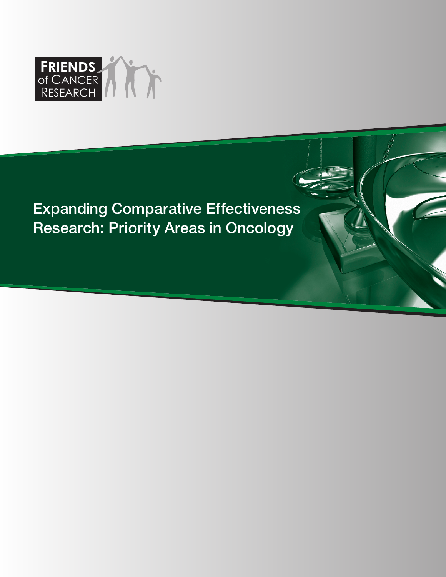

# Expanding Comparative Effectiveness Research: Priority Areas in Oncology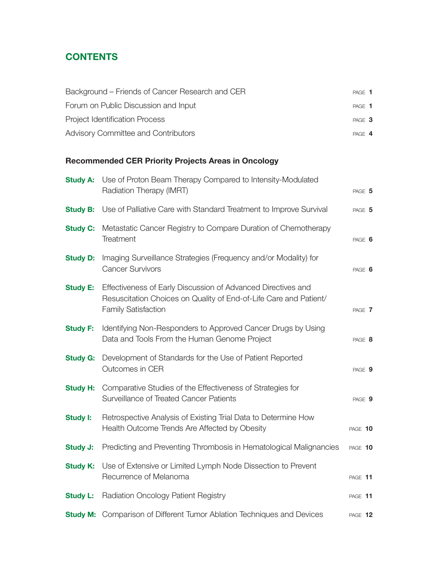### **CONTENTS**

| Background – Friends of Cancer Research and CER | PAGE 1 |  |
|-------------------------------------------------|--------|--|
| Forum on Public Discussion and Input            | PAGE 1 |  |
| <b>Project Identification Process</b>           | PAGE 3 |  |
| Advisory Committee and Contributors             | PAGE 4 |  |

### **Recommended CER Priority Projects Areas in Oncology**

| <b>Study A:</b> | Use of Proton Beam Therapy Compared to Intensity-Modulated<br>Radiation Therapy (IMRT)                                                                          | PAGE 5  |
|-----------------|-----------------------------------------------------------------------------------------------------------------------------------------------------------------|---------|
| <b>Study B:</b> | Use of Palliative Care with Standard Treatment to Improve Survival                                                                                              | PAGE 5  |
| <b>Study C:</b> | Metastatic Cancer Registry to Compare Duration of Chemotherapy<br>Treatment                                                                                     | PAGE 6  |
| <b>Study D:</b> | Imaging Surveillance Strategies (Frequency and/or Modality) for<br><b>Cancer Survivors</b>                                                                      | PAGE 6  |
| <b>Study E:</b> | Effectiveness of Early Discussion of Advanced Directives and<br>Resuscitation Choices on Quality of End-of-Life Care and Patient/<br><b>Family Satisfaction</b> | PAGE 7  |
| <b>Study F:</b> | Identifying Non-Responders to Approved Cancer Drugs by Using<br>Data and Tools From the Human Genome Project                                                    | PAGE 8  |
| <b>Study G:</b> | Development of Standards for the Use of Patient Reported<br>Outcomes in CER                                                                                     | PAGE 9  |
| <b>Study H:</b> | Comparative Studies of the Effectiveness of Strategies for<br>Surveillance of Treated Cancer Patients                                                           | PAGE 9  |
| Study I:        | Retrospective Analysis of Existing Trial Data to Determine How<br>Health Outcome Trends Are Affected by Obesity                                                 | PAGE 10 |
| <b>Study J:</b> | Predicting and Preventing Thrombosis in Hematological Malignancies                                                                                              | PAGE 10 |
| <b>Study K:</b> | Use of Extensive or Limited Lymph Node Dissection to Prevent<br>Recurrence of Melanoma                                                                          | PAGE 11 |
| <b>Study L:</b> | <b>Radiation Oncology Patient Registry</b>                                                                                                                      | PAGE 11 |
|                 | <b>Study M:</b> Comparison of Different Tumor Ablation Techniques and Devices                                                                                   | PAGE 12 |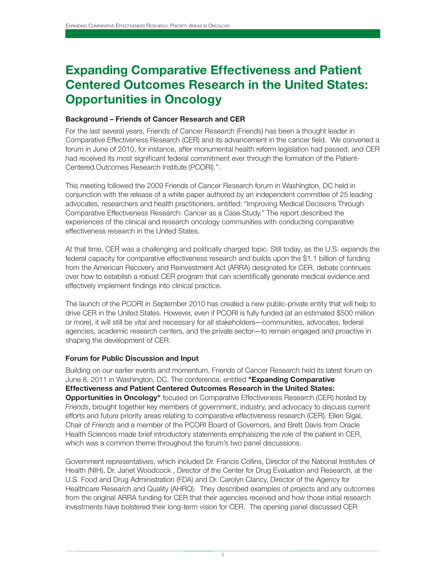## **Expanding Comparative Effectiveness and Patient Centered Outcomes Research in the United States: Opportunities in Oncology**

#### **Background – Friends of Cancer Research and CER**

For the last several years, Friends of Cancer Research (Friends) has been a thought leader in Comparative Effectiveness Research (CER) and its advancement in the cancer field. We convened a forum in June of 2010, for instance, after monumental health reform legislation had passed, and CER had received its most significant federal commitment ever through the formation of the Patient-Centered Outcomes Research Institute (PCORI).".

This meeting followed the 2009 Friends of Cancer Research forum in Washington, DC held in conjunction with the release of a white paper authored by an independent committee of 25 leading advocates, researchers and health practitioners, entitled: "Improving Medical Decisions Through Comparative Effectiveness Research: Cancer as a Case Study." The report described the experiences of the clinical and research oncology communities with conducting comparative effectiveness research in the United States.

At that time, CER was a challenging and politically charged topic. Still today, as the U.S. expands the federal capacity for comparative effectiveness research and builds upon the \$1.1 billion of funding from the American Recovery and Reinvestment Act (ARRA) designated for CER, debate continues over how to establish a robust CER program that can scientifically generate medical evidence and effectively implement findings into clinical practice.

The launch of the PCORI in September 2010 has created a new public-private entity that will help to drive CER in the United States. However, even if PCORI is fully funded (at an estimated \$500 million or more), it will still be vital and necessary for all stakeholders—communities, advocates, federal agencies, academic research centers, and the private sector—to remain engaged and proactive in shaping the development of CER.

#### **Forum for Public Discussion and Input**

Building on our earlier events and momentum, Friends of Cancer Research held its latest forum on June 8, 2011 in Washington, DC. The conference, entitled **"Expanding Comparative Effectiveness and Patient Centered Outcomes Research in the United States: Opportunities in Oncology"** focused on Comparative Effectiveness Research (CER) hosted by *Friends*, brought together key members of government, industry, and advocacy to discuss current efforts and future priority areas relating to comparative effectiveness research (CER). Ellen Sigal, Chair of *Friends* and a member of the PCORI Board of Governors, and Brett Davis from Oracle Health Sciences made brief introductory statements emphasizing the role of the patient in CER, which was a common theme throughout the forum's two panel discussions.

Government representatives, which included Dr. Francis Collins, Director of the National Institutes of Health (NIH), Dr. Janet Woodcock , Director of the Center for Drug Evaluation and Research, at the U.S. Food and Drug Administration (FDA) and Dr. Carolyn Clancy, Director of the Agency for Healthcare Research and Quality (AHRQ). They described examples of projects and any outcomes from the original ARRA funding for CER that their agencies received and how those initial research investments have bolstered their long-term vision for CER. The opening panel discussed CER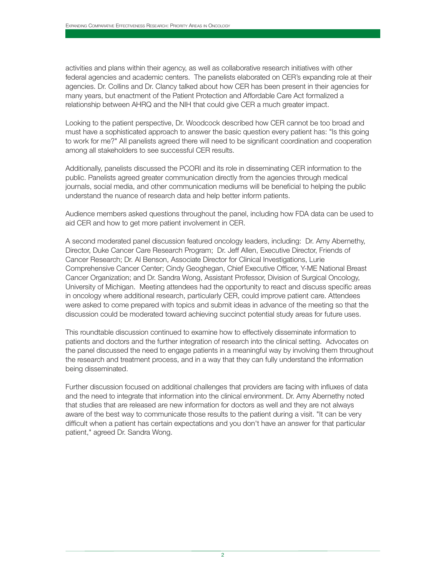activities and plans within their agency, as well as collaborative research initiatives with other federal agencies and academic centers. The panelists elaborated on CER's expanding role at their agencies. Dr. Collins and Dr. Clancy talked about how CER has been present in their agencies for many years, but enactment of the Patient Protection and Affordable Care Act formalized a relationship between AHRQ and the NIH that could give CER a much greater impact.

Looking to the patient perspective, Dr. Woodcock described how CER cannot be too broad and must have a sophisticated approach to answer the basic question every patient has: "Is this going to work for me?" All panelists agreed there will need to be significant coordination and cooperation among all stakeholders to see successful CER results.

Additionally, panelists discussed the PCORI and its role in disseminating CER information to the public. Panelists agreed greater communication directly from the agencies through medical journals, social media, and other communication mediums will be beneficial to helping the public understand the nuance of research data and help better inform patients.

Audience members asked questions throughout the panel, including how FDA data can be used to aid CER and how to get more patient involvement in CER.

A second moderated panel discussion featured oncology leaders, including: Dr. Amy Abernethy, Director, Duke Cancer Care Research Program; Dr. Jeff Allen, Executive Director, Friends of Cancer Research; Dr. Al Benson, Associate Director for Clinical Investigations, Lurie Comprehensive Cancer Center; Cindy Geoghegan, Chief Executive Officer, Y-ME National Breast Cancer Organization; and Dr. Sandra Wong, Assistant Professor, Division of Surgical Oncology, University of Michigan. Meeting attendees had the opportunity to react and discuss specific areas in oncology where additional research, particularly CER, could improve patient care. Attendees were asked to come prepared with topics and submit ideas in advance of the meeting so that the discussion could be moderated toward achieving succinct potential study areas for future uses.

This roundtable discussion continued to examine how to effectively disseminate information to patients and doctors and the further integration of research into the clinical setting. Advocates on the panel discussed the need to engage patients in a meaningful way by involving them throughout the research and treatment process, and in a way that they can fully understand the information being disseminated.

Further discussion focused on additional challenges that providers are facing with influxes of data and the need to integrate that information into the clinical environment. Dr. Amy Abernethy noted that studies that are released are new information for doctors as well and they are not always aware of the best way to communicate those results to the patient during a visit. "It can be very difficult when a patient has certain expectations and you don't have an answer for that particular patient," agreed Dr. Sandra Wong.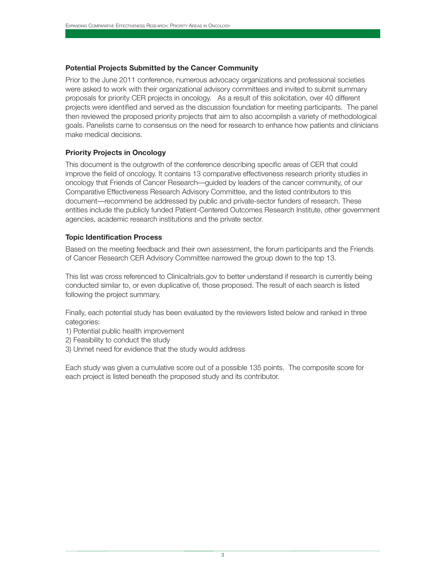#### **Potential Projects Submitted by the Cancer Community**

Prior to the June 2011 conference, numerous advocacy organizations and professional societies were asked to work with their organizational advisory committees and invited to submit summary proposals for priority CER projects in oncology. As a result of this solicitation, over 40 different projects were identified and served as the discussion foundation for meeting participants. The panel then reviewed the proposed priority projects that aim to also accomplish a variety of methodological goals. Panelists came to consensus on the need for research to enhance how patients and clinicians make medical decisions.

#### **Priority Projects in Oncology**

This document is the outgrowth of the conference describing specific areas of CER that could improve the field of oncology. It contains 13 comparative effectiveness research priority studies in oncology that Friends of Cancer Research—guided by leaders of the cancer community, of our Comparative Effectiveness Research Advisory Committee, and the listed contributors to this document—recommend be addressed by public and private-sector funders of research. These entities include the publicly funded Patient-Centered Outcomes Research Institute, other government agencies, academic research institutions and the private sector.

#### **Topic Identification Process**

Based on the meeting feedback and their own assessment, the forum participants and the Friends of Cancer Research CER Advisory Committee narrowed the group down to the top 13.

This list was cross referenced to Clinicaltrials.gov to better understand if research is currently being conducted similar to, or even duplicative of, those proposed. The result of each search is listed following the project summary.

Finally, each potential study has been evaluated by the reviewers listed below and ranked in three categories:

- 1) Potential public health improvement
- 2) Feasibility to conduct the study
- 3) Unmet need for evidence that the study would address

Each study was given a cumulative score out of a possible 135 points. The composite score for each project is listed beneath the proposed study and its contributor.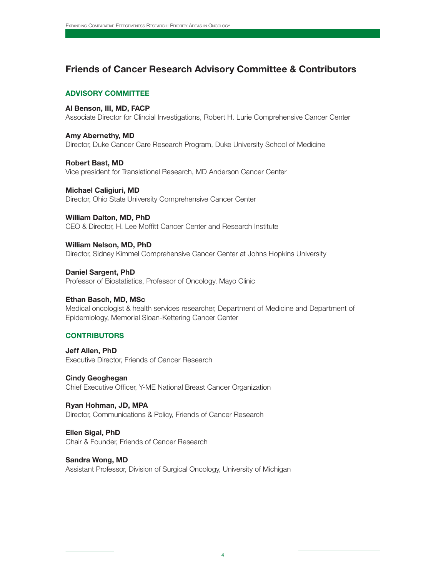### **Friends of Cancer Research Advisory Committee & Contributors**

#### **ADVISORY COMMITTEE**

#### **Al Benson, III, MD, FACP**

Associate Director for Clincial Investigations, Robert H. Lurie Comprehensive Cancer Center

**Amy Abernethy, MD** Director, Duke Cancer Care Research Program, Duke University School of Medicine

**Robert Bast, MD** Vice president for Translational Research, MD Anderson Cancer Center

**Michael Caligiuri, MD** Director, Ohio State University Comprehensive Cancer Center

**William Dalton, MD, PhD** CEO & Director, H. Lee Moffitt Cancer Center and Research Institute

**William Nelson, MD, PhD** Director, Sidney Kimmel Comprehensive Cancer Center at Johns Hopkins University

**Daniel Sargent, PhD** Professor of Biostatistics, Professor of Oncology, Mayo Clinic

#### **Ethan Basch, MD, MSc**

Medical oncologist & health services researcher, Department of Medicine and Department of Epidemiology, Memorial Sloan-Kettering Cancer Center

#### **CONTRIBUTORS**

**Jeff Allen, PhD** Executive Director, Friends of Cancer Research

**Cindy Geoghegan** Chief Executive Officer, Y-ME National Breast Cancer Organization

**Ryan Hohman, JD, MPA** Director, Communications & Policy, Friends of Cancer Research

**Ellen Sigal, PhD** Chair & Founder, Friends of Cancer Research

**Sandra Wong, MD** Assistant Professor, Division of Surgical Oncology, University of Michigan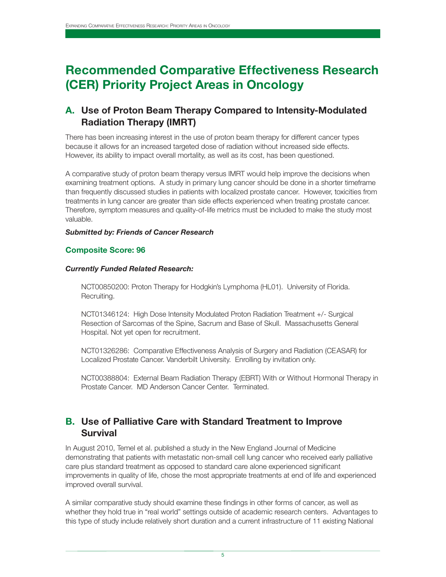## **Recommended Comparative Effectiveness Research (CER) Priority Project Areas in Oncology**

### **A. Use of Proton Beam Therapy Compared to Intensity-Modulated Radiation Therapy (IMRT)**

There has been increasing interest in the use of proton beam therapy for different cancer types because it allows for an increased targeted dose of radiation without increased side effects. However, its ability to impact overall mortality, as well as its cost, has been questioned.

A comparative study of proton beam therapy versus IMRT would help improve the decisions when examining treatment options. A study in primary lung cancer should be done in a shorter timeframe than frequently discussed studies in patients with localized prostate cancer. However, toxicities from treatments in lung cancer are greater than side effects experienced when treating prostate cancer. Therefore, symptom measures and quality-of-life metrics must be included to make the study most valuable.

#### *Submitted by: Friends of Cancer Research*

#### **Composite Score: 96**

#### *Currently Funded Related Research:*

NCT00850200: Proton Therapy for Hodgkin's Lymphoma (HL01). University of Florida. Recruiting.

NCT01346124: High Dose Intensity Modulated Proton Radiation Treatment +/- Surgical Resection of Sarcomas of the Spine, Sacrum and Base of Skull. Massachusetts General Hospital. Not yet open for recruitment.

NCT01326286: Comparative Effectiveness Analysis of Surgery and Radiation (CEASAR) for Localized Prostate Cancer. Vanderbilt University. Enrolling by invitation only.

NCT00388804: External Beam Radiation Therapy (EBRT) With or Without Hormonal Therapy in Prostate Cancer. MD Anderson Cancer Center. Terminated.

### **B. Use of Palliative Care with Standard Treatment to Improve Survival**

In August 2010, Temel et al. published a study in the New England Journal of Medicine demonstrating that patients with metastatic non-small cell lung cancer who received early palliative care plus standard treatment as opposed to standard care alone experienced significant improvements in quality of life, chose the most appropriate treatments at end of life and experienced improved overall survival.

A similar comparative study should examine these findings in other forms of cancer, as well as whether they hold true in "real world" settings outside of academic research centers. Advantages to this type of study include relatively short duration and a current infrastructure of 11 existing National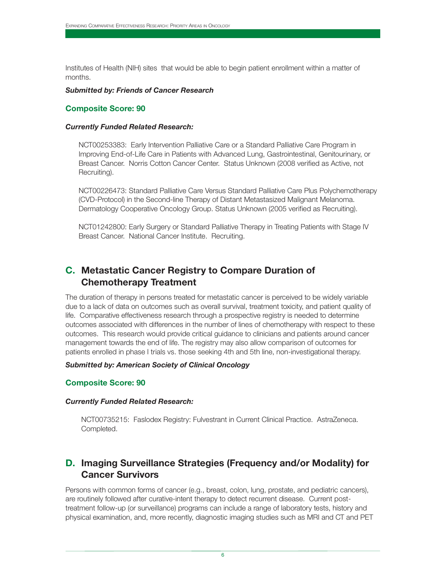Institutes of Health (NIH) sites that would be able to begin patient enrollment within a matter of months.

#### *Submitted by: Friends of Cancer Research*

#### **Composite Score: 90**

#### *Currently Funded Related Research:*

NCT00253383: Early Intervention Palliative Care or a Standard Palliative Care Program in Improving End-of-Life Care in Patients with Advanced Lung, Gastrointestinal, Genitourinary, or Breast Cancer. Norris Cotton Cancer Center. Status Unknown (2008 verified as Active, not Recruiting).

NCT00226473: Standard Palliative Care Versus Standard Palliative Care Plus Polychemotherapy (CVD-Protocol) in the Second-line Therapy of Distant Metastasized Malignant Melanoma. Dermatology Cooperative Oncology Group. Status Unknown (2005 verified as Recruiting).

NCT01242800: Early Surgery or Standard Palliative Therapy in Treating Patients with Stage IV Breast Cancer. National Cancer Institute. Recruiting.

### **C. Metastatic Cancer Registry to Compare Duration of Chemotherapy Treatment**

The duration of therapy in persons treated for metastatic cancer is perceived to be widely variable due to a lack of data on outcomes such as overall survival, treatment toxicity, and patient quality of life. Comparative effectiveness research through a prospective registry is needed to determine outcomes associated with differences in the number of lines of chemotherapy with respect to these outcomes. This research would provide critical guidance to clinicians and patients around cancer management towards the end of life. The registry may also allow comparison of outcomes for patients enrolled in phase I trials vs. those seeking 4th and 5th line, non-investigational therapy.

#### *Submitted by: American Society of Clinical Oncology*

#### **Composite Score: 90**

#### *Currently Funded Related Research:*

NCT00735215: Faslodex Registry: Fulvestrant in Current Clinical Practice. AstraZeneca. Completed.

### **D. Imaging Surveillance Strategies (Frequency and/or Modality) for Cancer Survivors**

Persons with common forms of cancer (e.g., breast, colon, lung, prostate, and pediatric cancers), are routinely followed after curative-intent therapy to detect recurrent disease. Current posttreatment follow-up (or surveillance) programs can include a range of laboratory tests, history and physical examination, and, more recently, diagnostic imaging studies such as MRI and CT and PET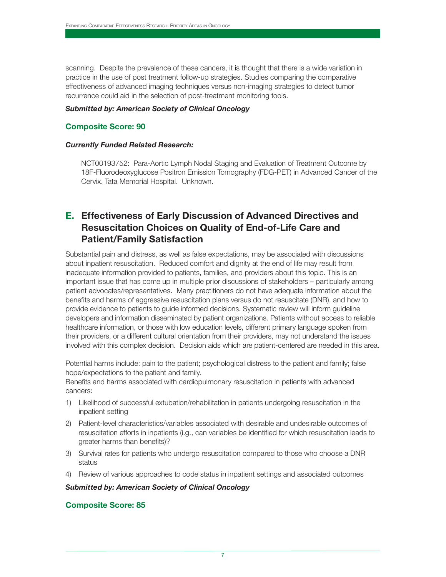scanning. Despite the prevalence of these cancers, it is thought that there is a wide variation in practice in the use of post treatment follow-up strategies. Studies comparing the comparative effectiveness of advanced imaging techniques versus non-imaging strategies to detect tumor recurrence could aid in the selection of post-treatment monitoring tools.

#### *Submitted by: American Society of Clinical Oncology*

#### **Composite Score: 90**

#### *Currently Funded Related Research:*

NCT00193752: Para-Aortic Lymph Nodal Staging and Evaluation of Treatment Outcome by 18F-Fluorodeoxyglucose Positron Emission Tomography (FDG-PET) in Advanced Cancer of the Cervix. Tata Memorial Hospital. Unknown.

### **E. Effectiveness of Early Discussion of Advanced Directives and Resuscitation Choices on Quality of End-of-Life Care and Patient/Family Satisfaction**

Substantial pain and distress, as well as false expectations, may be associated with discussions about inpatient resuscitation. Reduced comfort and dignity at the end of life may result from inadequate information provided to patients, families, and providers about this topic. This is an important issue that has come up in multiple prior discussions of stakeholders – particularly among patient advocates/representatives. Many practitioners do not have adequate information about the benefits and harms of aggressive resuscitation plans versus do not resuscitate (DNR), and how to provide evidence to patients to guide informed decisions. Systematic review will inform guideline developers and information disseminated by patient organizations. Patients without access to reliable healthcare information, or those with low education levels, different primary language spoken from their providers, or a different cultural orientation from their providers, may not understand the issues involved with this complex decision. Decision aids which are patient-centered are needed in this area.

Potential harms include: pain to the patient; psychological distress to the patient and family; false hope/expectations to the patient and family.

Benefits and harms associated with cardiopulmonary resuscitation in patients with advanced cancers:

- 1) Likelihood of successful extubation/rehabilitation in patients undergoing resuscitation in the inpatient setting
- 2) Patient-level characteristics/variables associated with desirable and undesirable outcomes of resuscitation efforts in inpatients (i.g., can variables be identified for which resuscitation leads to greater harms than benefits)?
- 3) Survival rates for patients who undergo resuscitation compared to those who choose a DNR status
- 4) Review of various approaches to code status in inpatient settings and associated outcomes

#### *Submitted by: American Society of Clinical Oncology*

#### **Composite Score: 85**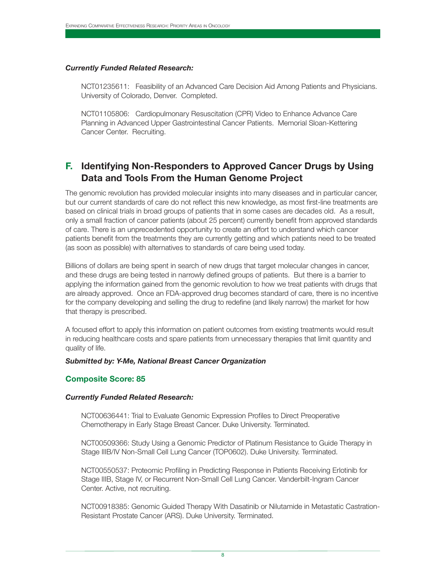#### *Currently Funded Related Research:*

NCT01235611: Feasibility of an Advanced Care Decision Aid Among Patients and Physicians. University of Colorado, Denver. Completed.

NCT01105806: Cardiopulmonary Resuscitation (CPR) Video to Enhance Advance Care Planning in Advanced Upper Gastrointestinal Cancer Patients. Memorial Sloan-Kettering Cancer Center. Recruiting.

### **F. Identifying Non-Responders to Approved Cancer Drugs by Using Data and Tools From the Human Genome Project**

The genomic revolution has provided molecular insights into many diseases and in particular cancer, but our current standards of care do not reflect this new knowledge, as most first-line treatments are based on clinical trials in broad groups of patients that in some cases are decades old. As a result, only a small fraction of cancer patients (about 25 percent) currently benefit from approved standards of care. There is an unprecedented opportunity to create an effort to understand which cancer patients benefit from the treatments they are currently getting and which patients need to be treated (as soon as possible) with alternatives to standards of care being used today.

Billions of dollars are being spent in search of new drugs that target molecular changes in cancer, and these drugs are being tested in narrowly defined groups of patients. But there is a barrier to applying the information gained from the genomic revolution to how we treat patients with drugs that are already approved. Once an FDA-approved drug becomes standard of care, there is no incentive for the company developing and selling the drug to redefine (and likely narrow) the market for how that therapy is prescribed.

A focused effort to apply this information on patient outcomes from existing treatments would result in reducing healthcare costs and spare patients from unnecessary therapies that limit quantity and quality of life.

#### *Submitted by: Y-Me, National Breast Cancer Organization*

#### **Composite Score: 85**

#### *Currently Funded Related Research:*

NCT00636441: Trial to Evaluate Genomic Expression Profiles to Direct Preoperative Chemotherapy in Early Stage Breast Cancer. Duke University. Terminated.

NCT00509366: Study Using a Genomic Predictor of Platinum Resistance to Guide Therapy in Stage IIIB/IV Non-Small Cell Lung Cancer (TOP0602). Duke University. Terminated.

NCT00550537: Proteomic Profiling in Predicting Response in Patients Receiving Erlotinib for Stage IIIB, Stage IV, or Recurrent Non-Small Cell Lung Cancer. Vanderbilt-Ingram Cancer Center. Active, not recruiting.

NCT00918385: Genomic Guided Therapy With Dasatinib or Nilutamide in Metastatic Castration-Resistant Prostate Cancer (ARS). Duke University. Terminated.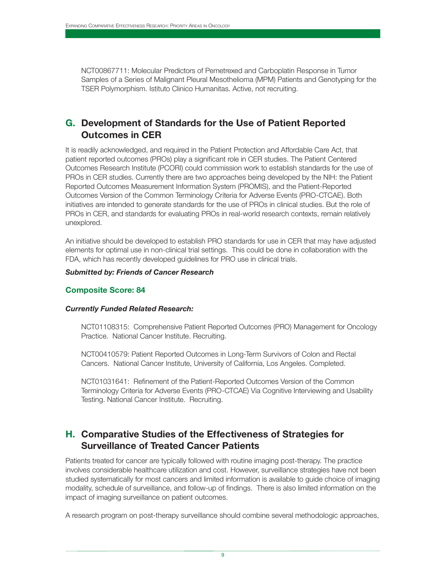NCT00867711: Molecular Predictors of Pemetrexed and Carboplatin Response in Tumor Samples of a Series of Malignant Pleural Mesothelioma (MPM) Patients and Genotyping for the TSER Polymorphism. Istituto Clinico Humanitas. Active, not recruiting.

### **G. Development of Standards for the Use of Patient Reported Outcomes in CER**

It is readily acknowledged, and required in the Patient Protection and Affordable Care Act, that patient reported outcomes (PROs) play a significant role in CER studies. The Patient Centered Outcomes Research Institute (PCORI) could commission work to establish standards for the use of PROs in CER studies. Currently there are two approaches being developed by the NIH: the Patient Reported Outcomes Measurement Information System (PROMIS), and the Patient-Reported Outcomes Version of the Common Terminology Criteria for Adverse Events (PRO-CTCAE). Both initiatives are intended to generate standards for the use of PROs in clinical studies. But the role of PROs in CER, and standards for evaluating PROs in real-world research contexts, remain relatively unexplored.

An initiative should be developed to establish PRO standards for use in CER that may have adjusted elements for optimal use in non-clinical trial settings. This could be done in collaboration with the FDA, which has recently developed guidelines for PRO use in clinical trials.

#### *Submitted by: Friends of Cancer Research*

#### **Composite Score: 84**

#### *Currently Funded Related Research:*

NCT01108315: Comprehensive Patient Reported Outcomes (PRO) Management for Oncology Practice. National Cancer Institute. Recruiting.

NCT00410579: Patient Reported Outcomes in Long-Term Survivors of Colon and Rectal Cancers. National Cancer Institute, University of California, Los Angeles. Completed.

NCT01031641: Refinement of the Patient-Reported Outcomes Version of the Common Terminology Criteria for Adverse Events (PRO-CTCAE) Via Cognitive Interviewing and Usability Testing. National Cancer Institute. Recruiting.

### **H. Comparative Studies of the Effectiveness of Strategies for Surveillance of Treated Cancer Patients**

Patients treated for cancer are typically followed with routine imaging post-therapy. The practice involves considerable healthcare utilization and cost. However, surveillance strategies have not been studied systematically for most cancers and limited information is available to guide choice of imaging modality, schedule of surveillance, and follow-up of findings. There is also limited information on the impact of imaging surveillance on patient outcomes.

A research program on post-therapy surveillance should combine several methodologic approaches,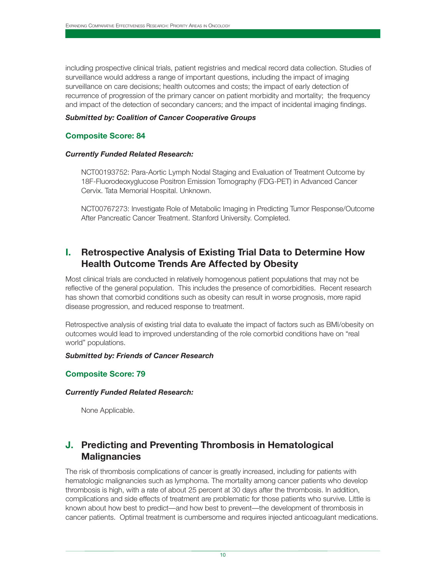including prospective clinical trials, patient registries and medical record data collection. Studies of surveillance would address a range of important questions, including the impact of imaging surveillance on care decisions; health outcomes and costs; the impact of early detection of recurrence of progression of the primary cancer on patient morbidity and mortality; the frequency and impact of the detection of secondary cancers; and the impact of incidental imaging findings.

#### *Submitted by: Coalition of Cancer Cooperative Groups*

#### **Composite Score: 84**

#### *Currently Funded Related Research:*

NCT00193752: Para-Aortic Lymph Nodal Staging and Evaluation of Treatment Outcome by 18F-Fluorodeoxyglucose Positron Emission Tomography (FDG-PET) in Advanced Cancer Cervix. Tata Memorial Hospital. Unknown.

NCT00767273: Investigate Role of Metabolic Imaging in Predicting Tumor Response/Outcome After Pancreatic Cancer Treatment. Stanford University. Completed.

### **I. Retrospective Analysis of Existing Trial Data to Determine How Health Outcome Trends Are Affected by Obesity**

Most clinical trials are conducted in relatively homogenous patient populations that may not be reflective of the general population. This includes the presence of comorbidities. Recent research has shown that comorbid conditions such as obesity can result in worse prognosis, more rapid disease progression, and reduced response to treatment.

Retrospective analysis of existing trial data to evaluate the impact of factors such as BMI/obesity on outcomes would lead to improved understanding of the role comorbid conditions have on "real world" populations.

#### *Submitted by: Friends of Cancer Research*

#### **Composite Score: 79**

#### *Currently Funded Related Research:*

None Applicable.

### **J. Predicting and Preventing Thrombosis in Hematological Malignancies**

The risk of thrombosis complications of cancer is greatly increased, including for patients with hematologic malignancies such as lymphoma. The mortality among cancer patients who develop thrombosis is high, with a rate of about 25 percent at 30 days after the thrombosis. In addition, complications and side effects of treatment are problematic for those patients who survive. Little is known about how best to predict—and how best to prevent—the development of thrombosis in cancer patients. Optimal treatment is cumbersome and requires injected anticoagulant medications.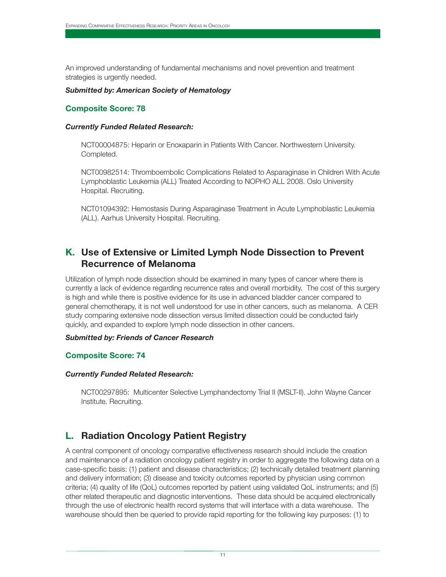An improved understanding of fundamental mechanisms and novel prevention and treatment strategies is urgently needed.

#### *Submitted by: American Society of Hematology*

#### **Composite Score: 78**

#### *Currently Funded Related Research:*

NCT00004875: Heparin or Enoxaparin in Patients With Cancer. Northwestern University. Completed.

NCT00982514: Thromboembolic Complications Related to Asparaginase in Children With Acute Lymphoblastic Leukemia (ALL) Treated According to NOPHO ALL 2008. Oslo University Hospital. Recruiting.

NCT01094392: Hemostasis During Asparaginase Treatment in Acute Lymphoblastic Leukemia (ALL). Aarhus University Hospital. Recruiting.

### **K. Use of Extensive or Limited Lymph Node Dissection to Prevent Recurrence of Melanoma**

Utilization of lymph node dissection should be examined in many types of cancer where there is currently a lack of evidence regarding recurrence rates and overall morbidity. The cost of this surgery is high and while there is positive evidence for its use in advanced bladder cancer compared to general chemotherapy, it is not well understood for use in other cancers, such as melanoma. A CER study comparing extensive node dissection versus limited dissection could be conducted fairly quickly, and expanded to explore lymph node dissection in other cancers.

#### *Submitted by: Friends of Cancer Research*

#### **Composite Score: 74**

#### *Currently Funded Related Research:*

NCT00297895: Multicenter Selective Lymphandectomy Trial II (MSLT-II). John Wayne Cancer Institute. Recruiting.

### **L. Radiation Oncology Patient Registry**

A central component of oncology comparative effectiveness research should include the creation and maintenance of a radiation oncology patient registry in order to aggregate the following data on a case-specific basis: (1) patient and disease characteristics; (2) technically detailed treatment planning and delivery information; (3) disease and toxicity outcomes reported by physician using common criteria; (4) quality of life (QoL) outcomes reported by patient using validated QoL instruments; and (5) other related therapeutic and diagnostic interventions. These data should be acquired electronically through the use of electronic health record systems that will interface with a data warehouse. The warehouse should then be queried to provide rapid reporting for the following key purposes: (1) to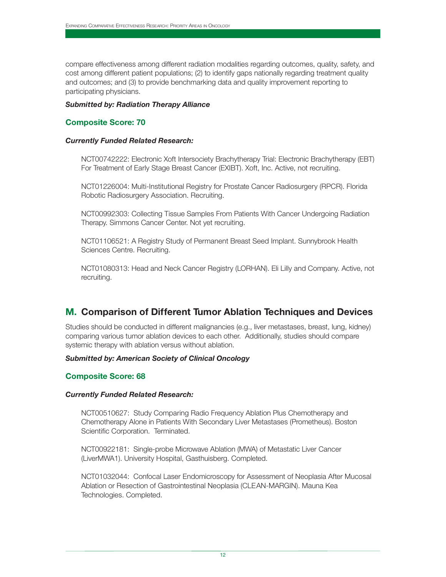compare effectiveness among different radiation modalities regarding outcomes, quality, safety, and cost among different patient populations; (2) to identify gaps nationally regarding treatment quality and outcomes; and (3) to provide benchmarking data and quality improvement reporting to participating physicians.

#### *Submitted by: Radiation Therapy Alliance*

#### **Composite Score: 70**

#### *Currently Funded Related Research:*

NCT00742222: Electronic Xoft Intersociety Brachytherapy Trial: Electronic Brachytherapy (EBT) For Treatment of Early Stage Breast Cancer (EXIBT). Xoft, Inc. Active, not recruiting.

NCT01226004: Multi-Institutional Registry for Prostate Cancer Radiosurgery (RPCR). Florida Robotic Radiosurgery Association. Recruiting.

NCT00992303: Collecting Tissue Samples From Patients With Cancer Undergoing Radiation Therapy. Simmons Cancer Center. Not yet recruiting.

NCT01106521: A Registry Study of Permanent Breast Seed Implant. Sunnybrook Health Sciences Centre. Recruiting.

NCT01080313: Head and Neck Cancer Registry (LORHAN). Eli Lilly and Company. Active, not recruiting.

### **M. Comparison of Different Tumor Ablation Techniques and Devices**

Studies should be conducted in different malignancies (e.g., liver metastases, breast, lung, kidney) comparing various tumor ablation devices to each other. Additionally, studies should compare systemic therapy with ablation versus without ablation.

#### *Submitted by: American Society of Clinical Oncology*

#### **Composite Score: 68**

#### *Currently Funded Related Research:*

NCT00510627: Study Comparing Radio Frequency Ablation Plus Chemotherapy and Chemotherapy Alone in Patients With Secondary Liver Metastases (Prometheus). Boston Scientific Corporation. Terminated.

NCT00922181: Single-probe Microwave Ablation (MWA) of Metastatic Liver Cancer (LiverMWA1). University Hospital, Gasthuisberg. Completed.

NCT01032044: Confocal Laser Endomicroscopy for Assessment of Neoplasia After Mucosal Ablation or Resection of Gastrointestinal Neoplasia (CLEAN-MARGIN). Mauna Kea Technologies. Completed.